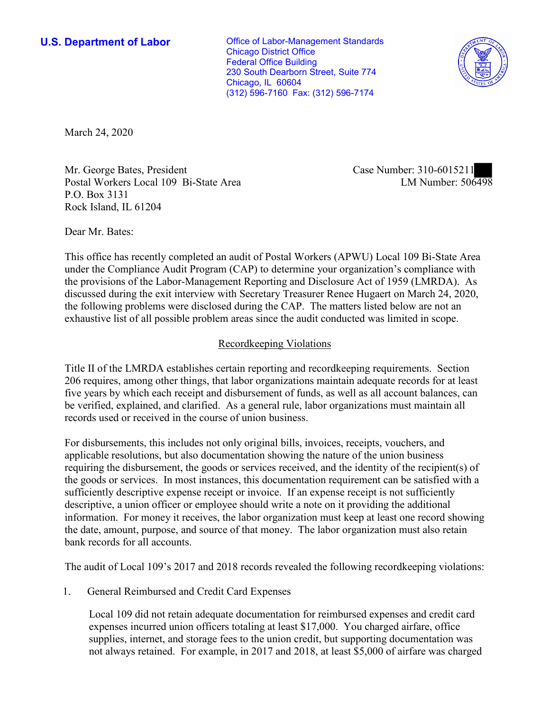**U.S. Department of Labor Conservative Conservative Conservative Conservative Conservative Conservative Conservative Conservative Conservative Conservative Conservative Conservative Conservative Conservative Conservative** Chicago District Office Federal Office Building 230 South Dearborn Street, Suite 774 Chicago, IL 60604 (312) 596-7160 Fax: (312) 596-7174



March 24, 2020

Mr. George Bates, President Case Number: 310-6015211 Postal Workers Local 109 Bi-State Area P.O. Box 3131 Rock Island, IL 61204

LM Number:  $506498$ 

Dear Mr. Bates:

 This office has recently completed an audit of Postal Workers (APWU) Local 109 Bi-State Area under the Compliance Audit Program (CAP) to determine your organization's compliance with the provisions of the Labor-Management Reporting and Disclosure Act of 1959 (LMRDA). As discussed during the exit interview with Secretary Treasurer Renee Hugaert on March 24, 2020, the following problems were disclosed during the CAP. The matters listed below are not an exhaustive list of all possible problem areas since the audit conducted was limited in scope.

# Recordkeeping Violations

 Title II of the LMRDA establishes certain reporting and recordkeeping requirements. Section 206 requires, among other things, that labor organizations maintain adequate records for at least five years by which each receipt and disbursement of funds, as well as all account balances, can be verified, explained, and clarified. As a general rule, labor organizations must maintain all records used or received in the course of union business.

For disbursements, this includes not only original bills, invoices, receipts, vouchers, and applicable resolutions, but also documentation showing the nature of the union business requiring the disbursement, the goods or services received, and the identity of the recipient(s) of the goods or services. In most instances, this documentation requirement can be satisfied with a sufficiently descriptive expense receipt or invoice. If an expense receipt is not sufficiently descriptive, a union officer or employee should write a note on it providing the additional information. For money it receives, the labor organization must keep at least one record showing the date, amount, purpose, and source of that money. The labor organization must also retain bank records for all accounts.

The audit of Local 109's 2017 and 2018 records revealed the following recordkeeping violations:

1. General Reimbursed and Credit Card Expenses

Local 109 did not retain adequate documentation for reimbursed expenses and credit card expenses incurred union officers totaling at least \$17,000. You charged airfare, office supplies, internet, and storage fees to the union credit, but supporting documentation was not always retained. For example, in 2017 and 2018, at least \$5,000 of airfare was charged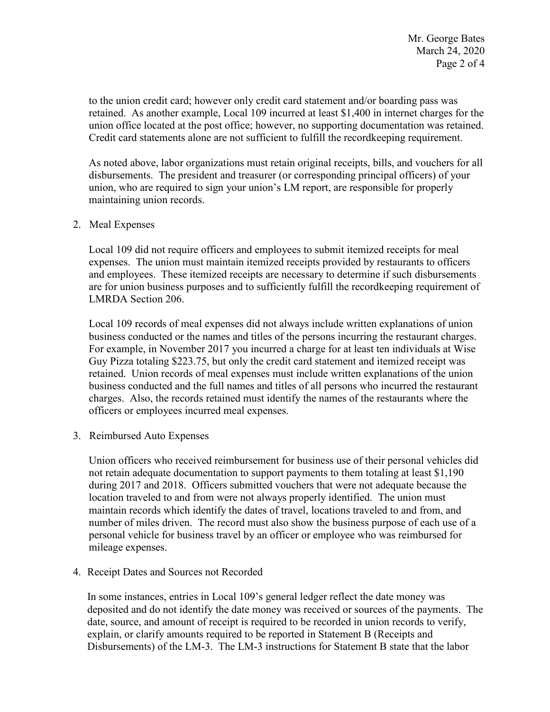to the union credit card; however only credit card statement and/or boarding pass was retained. As another example, Local 109 incurred at least \$1,400 in internet charges for the union office located at the post office; however, no supporting documentation was retained. Credit card statements alone are not sufficient to fulfill the recordkeeping requirement.

 disbursements. The president and treasurer (or corresponding principal officers) of your As noted above, labor organizations must retain original receipts, bills, and vouchers for all union, who are required to sign your union's LM report, are responsible for properly maintaining union records.

## 2. Meal Expenses

Local 109 did not require officers and employees to submit itemized receipts for meal expenses. The union must maintain itemized receipts provided by restaurants to officers and employees. These itemized receipts are necessary to determine if such disbursements are for union business purposes and to sufficiently fulfill the recordkeeping requirement of LMRDA Section 206.

business conducted or the names and titles of the persons incurring the restaurant charges. charges. Also, the records retained must identify the names of the restaurants where the officers or employees incurred meal expenses. 3. Reimbursed Auto Expenses Local 109 records of meal expenses did not always include written explanations of union For example, in November 2017 you incurred a charge for at least ten individuals at Wise Guy Pizza totaling \$223.75, but only the credit card statement and itemized receipt was retained. Union records of meal expenses must include written explanations of the union business conducted and the full names and titles of all persons who incurred the restaurant

Union officers who received reimbursement for business use of their personal vehicles did not retain adequate documentation to support payments to them totaling at least \$1,190 during 2017 and 2018. Officers submitted vouchers that were not adequate because the location traveled to and from were not always properly identified. The union must maintain records which identify the dates of travel, locations traveled to and from, and number of miles driven. The record must also show the business purpose of each use of a personal vehicle for business travel by an officer or employee who was reimbursed for mileage expenses.

4. Receipt Dates and Sources not Recorded

 In some instances, entries in Local 109's general ledger reflect the date money was explain, or clarify amounts required to be reported in Statement B (Receipts and Disbursements) of the LM-3. The LM-3 instructions for Statement B state that the labor deposited and do not identify the date money was received or sources of the payments. The date, source, and amount of receipt is required to be recorded in union records to verify,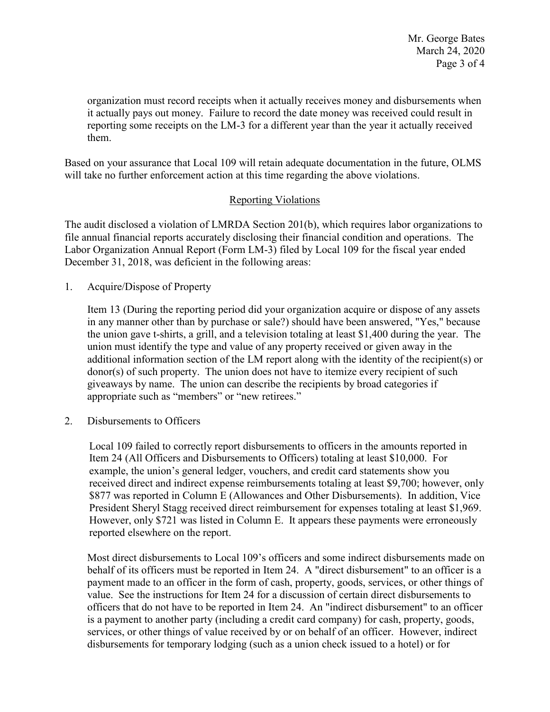Page 3 of 4 Mr. George Bates March 24, 2020

 it actually pays out money. Failure to record the date money was received could result in reporting some receipts on the LM-3 for a different year than the year it actually received them. organization must record receipts when it actually receives money and disbursements when

them.<br>Based on your assurance that Local 109 will retain adequate documentation in the future, OLMS will take no further enforcement action at this time regarding the above violations.

# Reporting Violations

 Labor Organization Annual Report (Form LM-3) filed by Local 109 for the fiscal year ended The audit disclosed a violation of LMRDA Section 201(b), which requires labor organizations to file annual financial reports accurately disclosing their financial condition and operations. The December 31, 2018, was deficient in the following areas:

1. Acquire/Dispose of Property

 the union gave t-shirts, a grill, and a television totaling at least \$1,400 during the year. The union must identify the type and value of any property received or given away in the additional information section of the LM report along with the identity of the recipient(s) or giveaways by name. The union can describe the recipients by broad categories if Item 13 (During the reporting period did your organization acquire or dispose of any assets in any manner other than by purchase or sale?) should have been answered, "Yes," because donor(s) of such property. The union does not have to itemize every recipient of such appropriate such as "members" or "new retirees."

2. Disbursements to Officers

Local 109 failed to correctly report disbursements to officers in the amounts reported in Item 24 (All Officers and Disbursements to Officers) totaling at least \$10,000. For example, the union's general ledger, vouchers, and credit card statements show you received direct and indirect expense reimbursements totaling at least \$9,700; however, only \$877 was reported in Column E (Allowances and Other Disbursements). In addition, Vice President Sheryl Stagg received direct reimbursement for expenses totaling at least \$1,969. However, only \$721 was listed in Column E. It appears these payments were erroneously reported elsewhere on the report.

 value. See the instructions for Item 24 for a discussion of certain direct disbursements to officers that do not have to be reported in Item 24. An "indirect disbursement" to an officer disbursements for temporary lodging (such as a union check issued to a hotel) or for Most direct disbursements to Local 109's officers and some indirect disbursements made on behalf of its officers must be reported in Item 24. A "direct disbursement" to an officer is a payment made to an officer in the form of cash, property, goods, services, or other things of is a payment to another party (including a credit card company) for cash, property, goods, services, or other things of value received by or on behalf of an officer. However, indirect